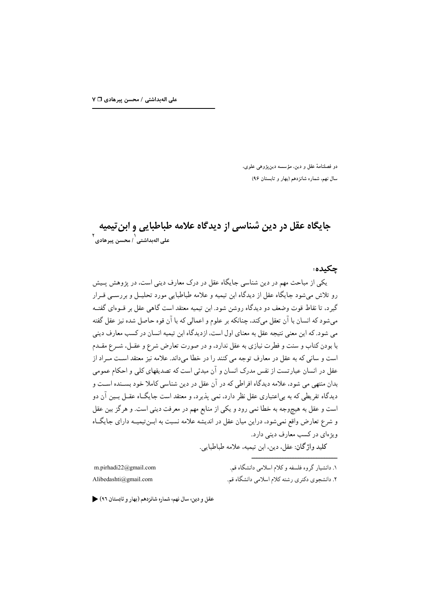دو فصلنامهٔ عقل و دین، مؤسسه دینپژوهی علوی، سال نهم، شماره شانزدهم (بهار و تابستان ۹۶)

# جایگاه عقل در دین شناسی از دیدگاه علامه طباطبایی و این تیمیه م<br>على الەبداشتى <sup>'</sup> ، محسن پيرهادى <sup>٢</sup>

حكىدە:

یکی از مباحث مهم در دین شناسی جایگاه عقل در درک معارف دینی است، در پژوهش پـیش رو تلاش میشود جایگاه عقل از دیدگاه ابن تیمیه و علامه طباطبایی مورد تحلیـل و بررســی قــرار گیرد، تا نقاط قوت وضعف دو دیدگاه روشن شود. ابن تیمیه معتقد است گاهی عقل بر قــوهای گفتــه می شود که انسان با آن تعقل میکند، چنانکه بر علوم و اعمالی که با آن قوه حاصل شده نیز عقل گفته می شود. که این معنی نتیجه عقل به معنای اول است، ازدیدگاه ابن تیمیه انسان در کسب معارف دینی با بودن کتاب و سنت و فطرت نیازی به عقل ندارد، و در صورت تعارض شرع و عقــل، شــرع مقــدم است و سانی که به عقل در معارف توجه می کنند را در خطا میداند. علامه نیز معتقد است مــراد از عقل در انسان عبارتست از نفس مدرک انسان و آن مبدئی است که تصدیقهای کلی و احکام عمومی بدان منتهی می شود، علامه دیدگاه افراطی که در آن عقل در دین شناسی کاملا خود بسـنده اسـت و دیدگاه تفریطی که به بی|عتباری عقل نظر دارد، نمی پذیرد، و معتقد است جایگــاه عقــل بــین آن دو است و عقل به هیچوجه به خطا نمی رود و یکی از منابع مهم در معرفت دینی است. و هرگز بین عقل و شرع تعارض واقع نمی شود، دراین میان عقل در اندیشه علامه نسبت به ابـن تیمیـه دارای جایگـاه ویژهای در کسب معارف دینی دارد.

كليد وإژگان: عقل، دين، اين تيميه، علامه طباطبايي.

m.pirhadi22@gmail.com Alibedashti@gmail.com

۱. دانشیار گروه فلسفه و کلام اسلامی دانشگاه قم. ۲. دانشجوی دکتری رشته کلام اسلامی دانشگاه قم.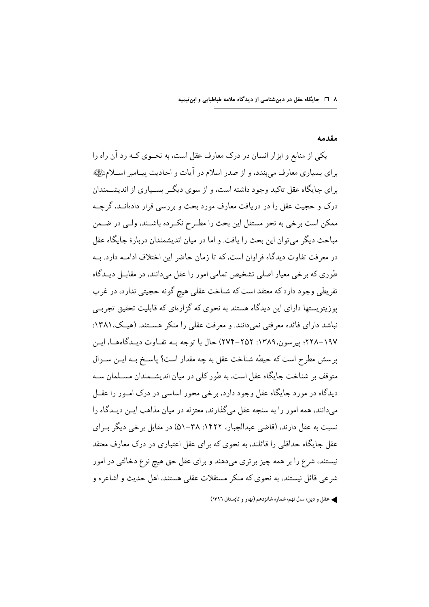۸ □ جایگاه عقل در دینشناسی از دیدگاه علامه طباطبایی و ابنتیمیه

#### مقدمه

یکی از منابع و ابزار انسان در درک معارف عقل است، به نحــوی کــه رد آن راه را براي بسياري معارف مي بندد، و از صدر اسلام در آيات و احاديث پيــامبر اســلامﷺ برای جایگاه عقل تاکید وجود داشته است، و از سوی دیگــر بســیاری از اندیشــمندان درک و حجیت عقل را در دریافت معارف مورد بحث و بررسی قرار دادهانـد، گرچــه ممكن است برخي به نحو مستقل اين بحث را مطـرح نكـرده باشـند، ولـي در ضـمن مباحث دیگر می توان این بحث را یافت. و اما در میان اندیشمندان دربارهٔ جایگاه عقل در معرفت تفاوت دیدگاه فراوان است، که تا زمان حاضر این اختلاف ادامـه دارد. بـه طوري که بر خي معيار اصلي تشخيص تمامي امور را عقل مي دانند، در مقابــل ديــدگاه تفریطی وجود دارد که معتقد است که شناخت عقلی هیج گونه حجیتی ندارد، در غرب یوزیتویستها دارای این دیدگاه هستند به نحوی که گزارهای که قابلیت تحقیق تجربے نباشد دارای فائده معرفتی نمی دانند. و معرفت عقلی را منکر هســتند. (هیـک، ۱۳۸۱: ١٩٧–٢٢٨. پير سون،١٣٨٩: ٢٥٢–٢٧۴) حال با توجه بــه تفــاوت ديــدگاههــا، ايــن پرسش مطرح است که حیطه شناخت عقل به چه مقدار است؟ پاسـخ بــه ایــن ســوال متوقف بر شناخت جایگاه عقل است، به طور کلی در میان اندیشــمندان مســلمان ســه دیدگاه در مورد جایگاه عقل وجود دارد، برخی محور اساسی در درک امـور را عقــل می دانند، همه امور را به سنجه عقل می گذارند، معتز له در میان مذاهب ایــن دیــدگاه را نسبت به عقل دارند، (قاضی عبدالجبار، ۱۴۲۲: ۳۸–۵۱) در مقابل برخی دیگر بـرای عقل جایگاه حداقلی را قائلند، به نحوی که برای عقل اعتباری در درک معارف معتقد نیستند، شرع را بر همه چیز بر تری می دهند و برای عقل حق هیچ نوع دخالتی در امور شرعي قائل نيستند، به نحوي كه منكر مستقلات عقلي هستند، اهل حديث و اشاعره و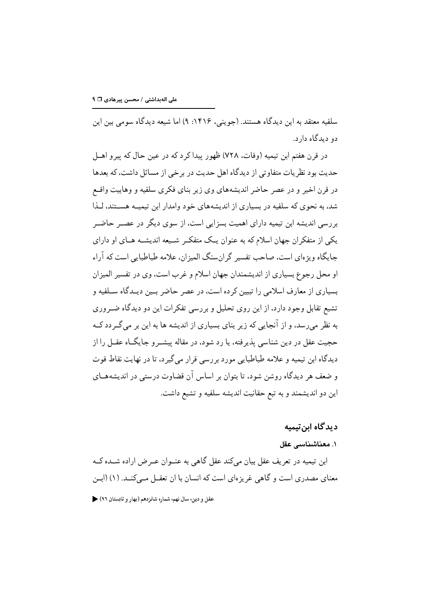سلفیه معتقد به این دیدگاه هستند. (جوینی، ۱۴۱۶: ۹) اما شیعه دیدگاه سومی بین این دو دیدگاه دارد.

در قرن هفتم ابن تيميه (وفات، ٧٢٨) ظهور پيدا كرد كه در عين حال كه پيرو اهــل حدیث بود نظریات متفاوتی از دیدگاه اهل حدیث در بر خی از مسائل داشت، که بعدها در قرن اخیر و در عصر حاضر اندیشههای وی زیر بنای فکری سلفیه و وهابیت واقسع شد، به نحوی که سلفیه در بسیاری از اندیشههای خود وامدار این تیمیـه هســتند، لــذا بررسی اندیشه ابن تیمیه دارای اهمیت بسزایی است، از سوی دیگر در عصـر حاضـر یکی از متفکر ان جهان اسلام که به عنوان یـک متفکـر شـیعه اندیشـه هـای او دارای جایگاه ویژهای است، صاحب تفسیر گران سنگ المیزان، علامه طباطبایی است که آراء او محل رجوع بسیاری از اندیشمندان جهان اسلام و غرب است، وی در تفسیر المیزان بسیاری از معارف اسلامی را تبیین کرده است، در عصر حاضر بسین دیـدگاه ســلفیه و تشیع تقابل وجود دارد، از این روی تحلیل و بررسی تفکرات این دو دیدگاه ضـروری به نظر میرسد، و از آنجایی که زیر بنای بسیاری از اندیشه ها به این بر میگردد کــه حجيت عقل در دين شناسي پذير فته، يا رد شود، در مقاله پيشــرو جايگــاه عقــل را از دیدگاه ابن تیمیه و علامه طباطبایی مورد بررسی قرار می گیرد، تا در نهایت نقاط قوت و ضعف هر دیدگاه روشن شود، تا بتوان بر اساس آن قضاوت درستی در اندیشههــای اين دو انديشمند و به تبع حقانيت انديشه سلفيه و تشيع داشت.

### دید گاه ابن تیمیه

#### ١. معناشناسي عقل

ابن تیمیه در تعریف عقل بیان میکند عقل گاهی به عنـوان عـرض اراده شــده کــه معنای مصدری است و گاهی غریز های است که انسان با ان تعقــل مــیکنــد. (۱) (ابــن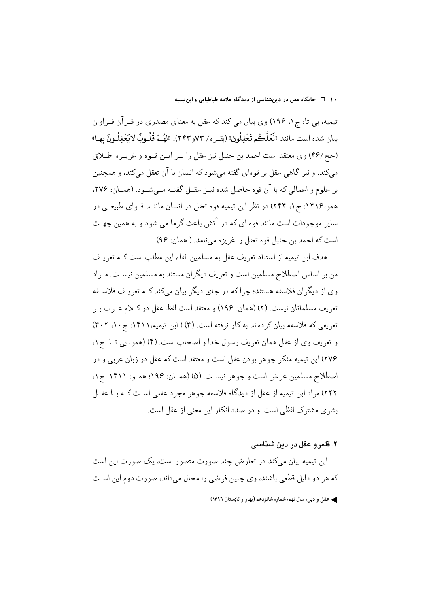تیمیه، بی تا: ج ۱، ۱۹۶) وی بیان می کند که عقل به معنای مصدری در قــر آن فــراوان بيان شده است مانند «لَعَلَّكُم تَعْقِلُون» (بقـره/ ٧٣و٢٣٣). «لهُـمْ قُلُـوبٌ لايَعْقِلُـونَ بهـا» (حج/۴۶) وي معتقد است احمد بن حنبل نيز عقل را بـر ايـن قـوه و غريـزه اطـلاق می کند. و نیز گاهی عقل بر قوهای گفته می شود که انسان با آن تعقل می کند، و همچنین بر علوم و اعمالي كه با آن قوه حاصل شده نيـز عقـل گفتـه مـي شـود. (همـان: ٢٧۶، همو،۱۴۱۶: ج۱، ۲۴۴) در نظر ابن تیمیه قوه تعقل در انسان ماننـد قــوای طبیعــی در سایر موجودات است مانند قوه ای که در آتش باعث گرما می شود و به همین جهـت است كه احمد بن حنبل قوه تعقل را غريزه مي نامد. ( همان: ٩۶)

هدف ابن تيميه از استناد تعريف عقل به مسلمين القاء اين مطلب است كــه تعريــف من بر اساس اصطلاح مسلمین است و تعریف دیگران مستند به مسلمین نیســت. مــراد وی از دیگران فلاسفه هستند؛ جراکه در جای دیگر بیان میکند کـه تعریـف فلاسـفه تعريف مسلمانان نيست. (٢) (همان: ١٩۶) و معتقد است لفظ عقل در كــلام عــر ب بــر تعریفی که فلاسفه بیان کردهاند به کار نرفته است. (۳) ( ابن تیمیه،۱۴۱۱: ج ۱۰، ۳۰۲) و تعريف وي از عقل همان تعريف رسول خدا و اصحاب است. (۴) (همو، بي تــا: ج ١، ٢٧۶) ابن تيميه منكر جوهر بودن عقل است و معتقد است كه عقل در زبان عربي و در اصطلاح مسلمين عرض است و جوهر نيست. (۵) (همـان: ۱۹۶؛ همـو: ۱۴۱۱: ج۱، ٢٢٢) مراد ابن تيميه از عقل از ديدگاه فلاسفه جوهر مجرد عقلي اسـت كــه بــا عقــل بشري مشترک لفظي است. و در صدد انکار اين معني از عقل است.

۲. قلمرو عقل در ددن شناسی

ابن تیمیه بیان میکند در تعارض چند صورت متصور است، یک صورت این است كه هر دو دليل قطعي باشند، وي چنين فرضي را محال مي داند، صورت دوم اين است ﴾ عقل و دين، سال نهم، شماره شانزدهم (بهار و تابستان ١٣٩٦)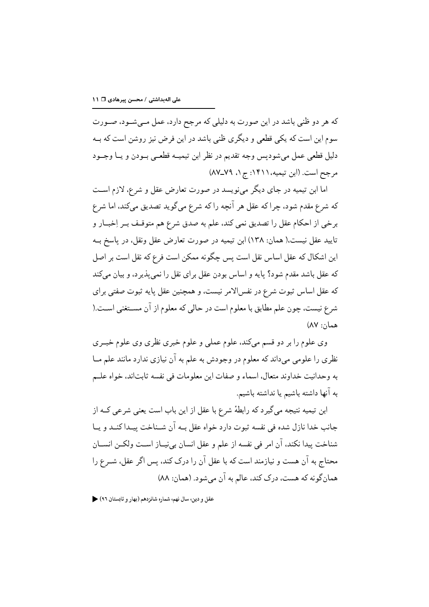که هر دو ظنی باشد در این صورت به دلیلی که مرجح دارد، عمل مــی شــود، صــورت سوم این است که یکی قطعی و دیگری ظنی باشد در این فرض نیز روشن است که بــه دليل قطعي عمل مي شوديس وجه تقديم در نظر ابن تيميــه قطعــي بــودن و يــا وجــود مرجح است. (ابن تيميه،١۴١١: ج١، ٧٩\_٨٧)

اما ابن تیمیه در جای دیگر می نویسد در صورت تعارض عقل و شرع، لازم است كه شرع مقدم شود، چرا كه عقل هر آنچه را كه شرع مي گويد تصديق ميكند، اما شرع برخي از احكام عقل را تصديق نمي كند، علم به صدق شرع هم متوقـف بـر اِخبــار و تایید عقل نیست،( همان: ۱۳۸) ابن تیمیه در صورت تعارض عقل ونقل، در پاسخ بــه این اشکال که عقل اساس نقل است پس چگونه ممکن است فرع که نقل است بر اصل که عقل باشد مقدم شود؟ پایه و اساس بودن عقل برای نقل را نمی پذیر د، و بیان می کند كه عقل اساس ثبوت شرع در نفس|لامر نيست، و همچنين عقل يايه ثبوت صفتى براي شرع نيست، چون علم مطابق با معلوم است در حالي كه معلوم از آن مســتغني اســت.( همان: ۸۷)

وي علوم را بر دو قسم ميكند، علوم عملي و علوم خبري نظري وي علوم خبـري نظري را علومي مي داند كه معلوم در وجودش به علم به آن نيازي ندارد مانند علم مــا به وحدانيت خداوند متعال، اسماء و صفات اين معلومات في نفسه ثابت|ند، خواه علــم به آنها داشته باشیم یا نداشته باشیم.

ابن تیمیه نتیجه می گیرد که رابطهٔ شرع با عقل از این باب است یعنی شرعی کــه از جانب خدا نازل شده في نفسه ثبوت دارد خواه عقل بـه آن شـناخت پيـدا كنـد و يـا شناخت پيدا نكند، آن امر في نفسه از علم و عقل انسان بي نيـاز اسـت ولكـن انســان محتاج به آن هست و نیازمند است که با عقل آن را درک کند، بس اگر عقل، شـرع را همان گونه که هست، درک کند، عالم به آن می شود. (همان: ۸۸)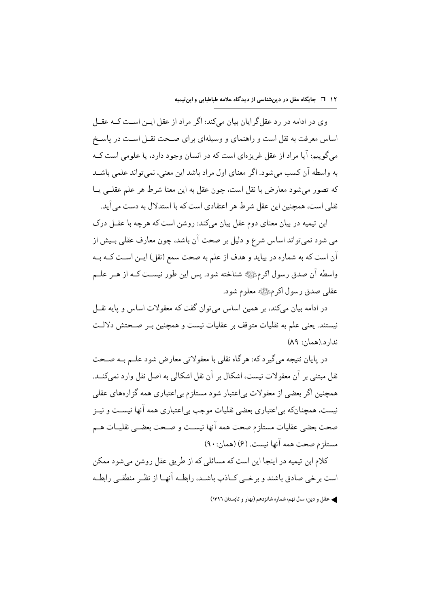وی در ادامه در رد عقل گرایان بیان می کند: اگر مراد از عقل ایــن اسـت کــه عقــل اساس معرفت به نقل است و راهنمای و وسیلهای برای صـحت نقــل اسـت در پاســخ می گوییم: آیا مراد از عقل غریز های است که در انسان وجود دارد، یا علومی است کـه به واسطه آن كسب مى شود. اگر معناى اول مراد باشد اين معنى، نمى تواند علمى باشــد كه تصور مى شود معارض با نقل است، چون عقل به اين معنا شرط هر علم عقلـى يــا نقلی است، همچنین این عقل شرط هر اعتقادی است که با استدلال به دست می آید.

ابن تیمیه در بیان معنای دوم عقل بیان میکند: روشن است که هرچه با عقـل درک می شود نمی تواند اساس شرع و دلیل بر صحت آن باشد، چون معارف عقلی بـیش از آن است كه به شماره در بيايد و هدف از علم به صحت سمع (نقل) ايـن اسـت كــه بــه واسطه آن صدق رسول اكرمﷺ شناخته شود. يس اين طور نيسـت كــه از هــر علــم عقلي صدق رسول اکر مﷺ معلوم شود.

در ادامه بیان میکند، بر همین اساس می توان گفت که معقولات اساس و پایه نقــل نیستند. یعنی علم به نقلیات متوقف بر عقلیات نیست و همچنین بـر صـحتش دلالـت ندار د.(همان: ۸۹)

در پایان نتیجه می گیر د که: هر گاه نقلی با معقولاتی معارض شود علــم بــه صــحت نقل مبتنے ہر آن معقولات نیست، اشکال ہر آن نقل اشکالی به اصل نقل وارد نمے کنــد. همچنین اگر بعضی از معقولات بی|عتبار شود مستلزم بی|عتباری همه گزارههای عقلی نیست، همچنانکه بی|عتباری بعضی نقلیات موجب بی|عتباری همه آنها نیســت و نیــز صحت بعضي عقليات مستلزم صحت همه آنها نيسـت و صـحت بعضـي نقليــات هــم مستلزم صحت همه آنها نيست. (۶) (همان: ۹۰)

کلام این تیمیه در اینجا این است که مسائلی که از طریق عقل روشن می شود ممکن است برخی صادق باشند و برخبی کــاذب باشــد، رابطــه آنهــا از نظـر منطقــی رابطــه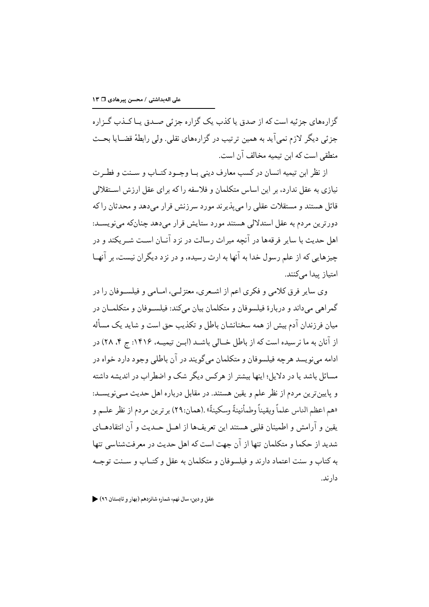گزار مھای جزئیه است که از صدق یا کذب یک گزاره جزئی صبدق بیا کیذب گیزاره جزئی دیگر لازم نمی آید به همین ترتیب در گزارههای نقلی. ولی رابطهٔ قضــایا بحــث منطقی است که این تیمیه مخالف آن است.

از نظر ابن تيميه انسان در كسب معارف ديني بــا وجــود كتــاب و ســنت و فطـرت نیازی به عقل ندارد، بر این اساس متکلمان و فلاسفه را که برای عقل ارزش اســتقلالی قائل هستند و مستقلات عقلی را می پذیرند مورد سرزنش قرار می دهد و محدثان را که دورترين مردم به عقل استدلالي هستند مورد ستايش قرار مى دهد چنانكه مى نويســد: اهل حديث با ساير فرقهها در آنچه ميراث رسالت در نز د آنــان اســت شــر يكند و در چیزهایی که از علم رسول خدا به آنها به ارث رسیده، و در نز د دیگران نیست، بر آنهـا امتياز بيدا مے كنند.

وي ساير فرق كلامي و فكرى اعم از اشـعرى، معتزلـي، امــامي و فيلســوفان را در گمراهی میداند و دربارهٔ فیلسوفان و متکلمان بیان میکند: فیلسـوفان و متکلمـان در میان فرزندان آدم بیش از همه سخنانشان باطل و تکذیب حق است و شاید یک مسأله از آنان به ما نر سیده است که از باطل خــالی باشــد (ابــن تیمیــه، ۱۴۱۶: ج ۴، ۲۸) در ادامه مي نو پسد هر چه فيلسوفان و متكلمان مي گويند در آن باطلي وجود دارد خواه در مسائل باشد یا در دلایل؛ اینها بیشتر از هرکس دیگر شک و اضطراب در اندیشه داشته و پایین ترین مردم از نظر علم و یقین هستند. در مقابل درباره اهل حدیث مــی نویســد: «هم اعظم الناس علماً ويقيناً وطمأنينةً وسكينةً» .(همان:٢٩) بر ترين مر دم از نظر علــم و يقين و آرامش و اطمينان قلبي هستند اين تعريفها از اهــل حــديث و آن انتقادهــاي شدید از حکما و متکلمان تنها از آن جهت است که اهل حدیث در معرفتشناسی تنها به کتاب و سنت اعتماد دارند و فیلسوفان و متکلمان به عقل و کتــاب و ســنت توجــه دار ند.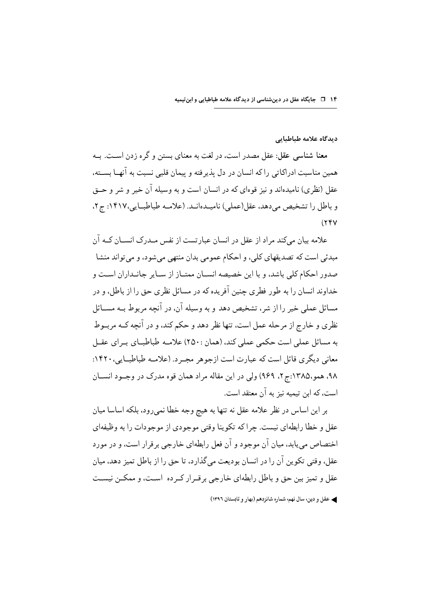۱۴ ۔ □ جایگاه عقل در دینشناسی از دیدگاه علامه طباطبایی و ابنتیمیه

دیدگاه علامه طباطبایی

معنا شناسی عقل: عقل مصدر است، در لغت به معنای بستن و گره زدن اسـت. بــه همین مناسبت ادراکاتی را که انسان در دل پذیرفته و پیمان قلبی نسبت به آنهــا بســته، عقل (نظري) ناميدهاند و نيز قوهاي كه در انسان است و به وسيله آن خير و شر و حــق و باطل را تشخیص می دهد، عقل(عملی) نامیـدهانـد. (علامـه طباطبـایی،۱۴۱۷ ج۲،  $(55V)$ 

علامه بیان میکند مراد از عقل در انسان عبارتست از نفس مـدرک انســان کــه آن مبدئي است كه تصديقهاي كلي، و احكام عمومي بدان منتهى مي شود، و مي تواند منشا صدور احکام کلی باشد، و با این خصیصه انســان ممتــاز از ســایر جانــداران اســت و خداوند انسان را به طور فطري جنين آفريده كه در مسائل نظري حق را از باطل، و در مسائل عملي خير را از شر، تشخيص دهد و به وسيله آن، در آنچه مربوط بـه مســائل نظري و خارج از مرحله عمل است، تنها نظر دهد و حكم كند، و در آنچه كــه مربــوط به مسائل عملی است حکمی عملی کند، (همان :۲۵۰) علامـه طباطبــای بــرای عقــل معاني ديگري قائل است كه عبارت است ازجوهر مجـرد. (علامـه طباطبـايي، ١۴٢٠: ۹۸، همو،۱۳۸۵:ج۲، ۹۶۹) ولي در اين مقاله مراد همان قوه مدرک در وجـود انســان است، که ابن تیمیه نیز به آن معتقد است.

بر این اساس در نظر علامه عقل نه تنها به هیچ وجه خطا نمی رود، بلکه اساسا میان عقل و خطا رابطهاي نيست. چراكه تكوينا وقتي موجودي از موجودات را به وظيفهاي اختصاص می پابد، میان آن موجود و آن فعل رابطهای خارجی بر قرار است، و در مورد عقل، وقتی تکوین آن را در انسان بودیعت می گذارد، تا حق را از باطل تمیز دهد، میان عقل و تمیز بین حق و باطل رابطهای خارجی بر قـرار کـر ده اسـت، و ممکـن نیسـت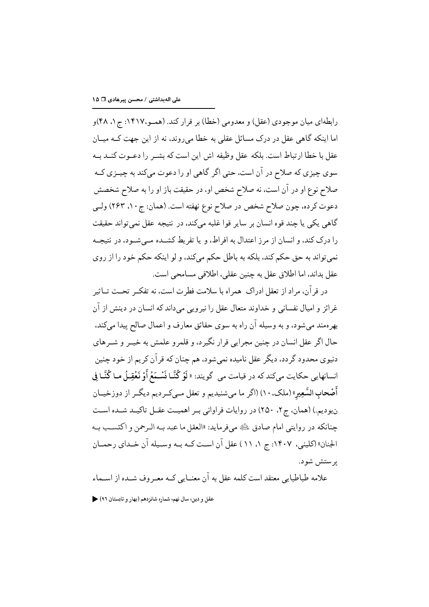رابطهای میان موجودی (عقل) و معدومی (خطا) بر قرار کند. (همـو،۱۴۱۷: ج۱، ۴۸)و اما اینکه گاهی عقل در درک مسائل عقلی به خطا می روند، نه از این جهت کــه میــان عقل با خطا ارتباط است. بلكه عقل وظيفه اش اين است كه بشـر را دعـوت كنــد بــه سوي چيزي كه صلاح در آن است، حتى اگر گاهي او را دعوت ميكند به چيــزي كــه صلاح نوع او در آن است، نه صلاح شخص او، در حقیقت باز او را به صلاح شخصش دعوت کرده، چون صلاح شخص در صلاح نوع نهفته است. (همان: ج ۱۰، ۲۶۳) ولـي گاهی یکی یا چند قوه انسان بر سایر قوا غلبه میکند، در نتیجه عقل نمیتواند حقیقت را درک کند، و انسان از مرز اعتدال به افراط، و یا تفریط کشــده مــی شــود، در نتیجــه نمي تواند به حق حكم كند، بلكه به باطل حكم ميكند، و لو اينكه حكم خود را از روى عقل بداند، اما اطلاق عقل به چنین عقلی، اطلاقی مسامحی است.

در قر آن، مراد از تعقل ادراک همراه با سلامت فطرت است، نه تفکـر تحــت تــاثير غرائز و اميال نفساني و خداوند متعال عقل را نيرويي مي داند كه انسان در دينش از آن بهرهمند مي شود، و به وسيله آن راه به سوى حقائق معارف و اعمال صالح پيدا ميكند، حال اگر عقل انسان در چنین مجرایی قرار نگیر د، و قلمرو علمش به خیــر و شــرهای دنیوی محدود گردد، دیگر عقل نامیده نمی شود، هم چنان که قر آن کر یم از خود چنین انسانهایی حکایت میکند که در قیامت می گویند: « لَوْ كُنَّـا نَسْـمَعُ أَوْ نَعْقِـلُ مـا كُنَّـا فِي أَصْحابِ السَّعِيرِ » (ملک، ١٠) (اگر ما مي شنيديم و تعقل مــي کــر ديم ديگــر از دوزخيــان نبوديم.) (همان، ج٢، ٢٥٠) در روايات فراواني بـر اهميـت عقـل تاكيـد شـده اسـت چنانکه در روايتي امام صادق ﷺ ميفرمايد: «العقل ما عبد بـه الـرحمن و اكتسـب بـه الجنان» (کلینی، ۱۴۰۷: ج ۱، ۱۱) عقل آن است کـه بـه وسـیله آن خـدای رحمـان پر ستش شو د.

علامه طباطبایی معتقد است کلمه عقل به آن معنــایی کــه معــروف شــده از اســماء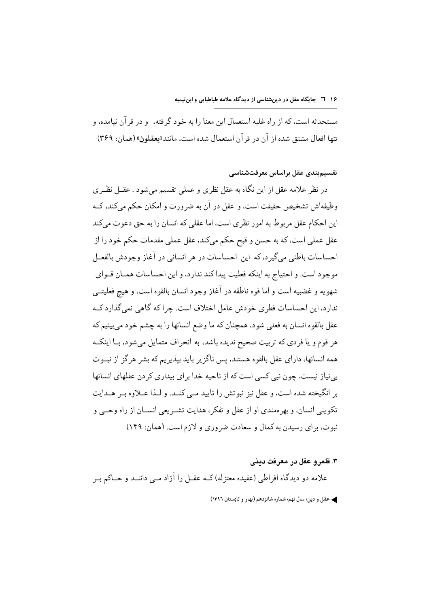#### ۱۶ □ جایگاه عقل در دینشناسی از دیدگاه علامه طباطبایی و ابنتیمیه

مستحدثه است، که از راه غلبه استعمال این معنا را به خود گرفته، و در قرآن نیامده، و تنها افعال مشتق شده از آن در قر آن استعمال شده است، مانند«يعقلون» (همان: ٣۶٩)

## تقسیمبندی عقل براساس معرفتشناسی

در نظر علامه عقل از این نگاه به عقل نظری و عملی تقسیم می شود . عقــل نظــری وظیفهاش تشخیص حقیقت است، و عقل در آن به ضرورت و امکان حکم مے کند، کـه این احکام عقل مربوط به امور نظری است، اما عقلی که انسان را به حق دعوت میکند عقل عملي است، كه به حسن و قبح حكم ميكند، عقل عملي مقدمات حكم خود را از احساسات باطني مي گير د، كه اين احساسات در هر انساني در آغاز وجودش بالفعــل موجود است. و احتياج به اينكه فعليت پيدا كند ندارد، و اين احساسات همــان قــواي شهويه و غضبيه است و اما قوه ناطقه در آغاز وجود انسان بالقوه است، و هيج فعليتے ندارد، این احساسات فطری خودش عامل اختلاف است. چرا که گاهی نمیگذارد کـه عقل بالقوه انسان به فعلی شود، همچنان که ما وضع انسانها را به چشم خود میبینیم که هر قوم و یا فردی که تربیت صحیح ندیده باشد، به انحراف متمایل میشود، بــا اینکــه همه انسانها، دارای عقل بالقوه هستند، پس ناگز پر باید بیذیر یم که بشر هر گز از نبــوت بے نیاز نیست، جون نبی کسی است که از ناحیه خدا برای بیداری کر دن عقلهای انسانها بر انگیخته شده است، و عقل نیز نبوتش را تایید مبی کنــد. و لــذا عــلاوه بــر هــدایت تکوینی انسان، و بھر ممندی او از عقل و تفکر ، هدایت تشـر یعی انســان از راه وحــی و نبوت، برای رسیدن به کمال و سعادت ضروری و لازم است. (همان: ۱۴۹)

#### ۴. قلمرو عقل در معرفت ديني

علامه دو دیدگاه افراطی (عقیده معتزله) کــه عقــل را آزاد مــی داننــد و حـــاکم بــر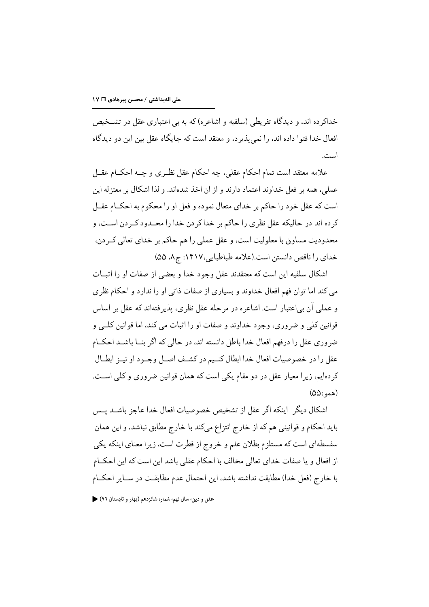خداکر ده اند، و دیدگاه تفریطی (سلفیه و اشاعره) که به بی اعتباری عقل در تشــخیص افعال خدا فتوا داده اند، را نمیپذیرد، و معتقد است که جایگاه عقل بین این دو دیدگاه است.

علامه معتقد است تمام احکام عقلبي، چه احکام عقل نظـري و چــه احکــام عقــل عملی، همه بر فعل خداوند اعتماد دارند و از ان اخذ شدهاند. و لذا اشکال بر معتز له این است كه عقل خود را حاكم بر خداي متعال نموده و فعل او را محكوم به احكــام عقــل كرده اند در حاليكه عقل نظري را حاكم بر خدا كردن خدا را محـدود كـردن اسـت، و محدوديت مساوق با معلوليت است، و عقل عملي را هم حاكم بر خداي تعالى كـردن، خداي را ناقص دانستن است.(علامه طباطبايي،١۴١٧: ج٨، ٥٥)

اشكال سلفيه اين است كه معتقدند عقل وجود خدا و بعضى از صفات او را اثبــات می کند اما توان فهم افعال خداوند و بسیاری از صفات ذاتی او را ندارد و احکام نظری و عملي آن بي|عتبار است. اشاعره در مرحله عقل نظري، پذير فته|ند كه عقل بر اساس قوانین کلی و ضروری، وجود خداوند و صفات او را اثبات می کند، اما قوانین کلــی و ضروری عقل را درفهم افعال خدا باطل دانسته اند، در حالی که اگر بنــا باشــد احکــام عقل را در خصوصیات افعال خدا ابطال کنیم در کشف اصل وجـود او نیـز ابطـال کردهایم، زیرا معیار عقل در دو مقام یکی است که همان قوانین ضروری و کلی است.  $(\Delta \Delta: \mathcal{L})$ 

اشكال ديگر |ينكه اگر عقل از تشخيص خصوصيات افعال خدا عاجز باشــد پــس بايد احكام و قوانيني هم كه از خارج انتزاع ميكند با خارج مطابق نباشد، و اين همان سفسطهای است که مستلزم بطلان علم و خروج از فطرت است، زیرا معنای اینکه یکی از افعال و یا صفات خدای تعالی مخالف با احکام عقلی باشد این است که این احکIم با خارج (فعل خدا) مطابقت نداشته باشد، این احتمال عدم مطابقت در سـایر احکــام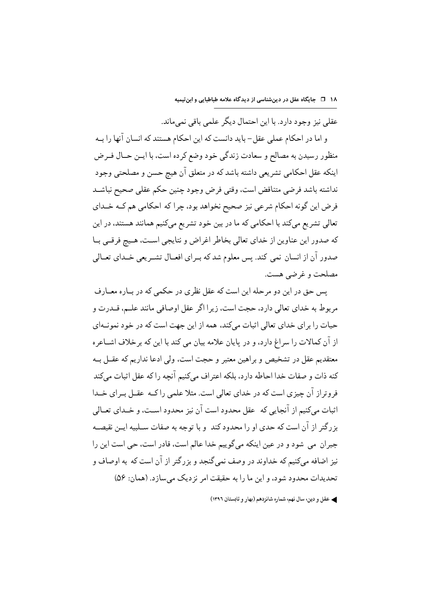۱۸ − ⊡ جایگاه عقل در دینشناسی از دیدگاه علامه طباطبایی و ابنتیمیه

عقلي نيز وجود دارد. با اين احتمال ديگر علمي باقي نمي ماند.

و اما در احکام عملی عقل- باید دانست که این احکام هستند که انسان آنها را بــه منظور رسيدن به مصالح و سعادت زندگي خود وضع كرده است، با ايــن حــال فــرض اينكه عقل احكامي تشريعي داشته باشد كه در متعلق آن هيچ حسن و مصلحتى وجود نداشته باشد فرضى متناقض است، وقتى فرض وجود چنين حكم عقلى صحيح نباشـد فرض این گونه احکام شرعی نیز صحیح نخواهد بود، چرا که احکامی هم کـه خـداي تعالی تشریع میکند با احکامی که ما در بین خود تشریع میکنیم همانند هستند، در این كه صدور اين عناوين از خداي تعالى بخاطر اغراض و نتايجي است، هـيج فرقـي بـا صدور آن از انسان نمی کند. پس معلوم شد که بـرای افعــال تشـر یعی خــدای تعــالی مصلحت و غرضے هست.

بس جق در این دو مرحله این است که عقل نظری در حکمی که در بــاره معــار ف مربوط به خداي تعالى دارد، حجت است، زير ا اگر عقل اوصافي مانند علـم، قــدرت و حیات را برای خدای تعالی اثبات میکند، همه از این جهت است که در خود نمونـهای از آن کمالات را سراغ دارد، و در پایان علامه بیان می کند با این که بر خلاف اشــاعر ه معتقديم عقل در تشخيص و براهين معتبر و حجت است، ولي ادعا نداريم كه عقــل بــه كنه ذات و صفات خدا احاطه دارد، بلكه اعتراف مى كنيم آنجه را كه عقل اثبات مى كند فروتراز آن چیزی است که در خدای تعالی است. مثلا علمی را کــه عقــل بــرای خــدا اثبات می کنیم از آنجایی که عقل محدود است آن نیز محدود است، و خــدای تعــالی بزرگتر از آن است که حدی او را محدود کند ًو با توجه به صفات سـلبيه ايـن نقيصــه جبران مي شود و در عين اينكه مي گوييم خدا عالم است، قادر است، حي است اين را نیز اضافه مےکنیم که خداوند در وصف نمے گنجد و بزرگتر از آن است که به اوصاف و تحدیدات محدود شود، و این ما را به حقیقت امر نز دیک می سازد. (همان: ۵۶)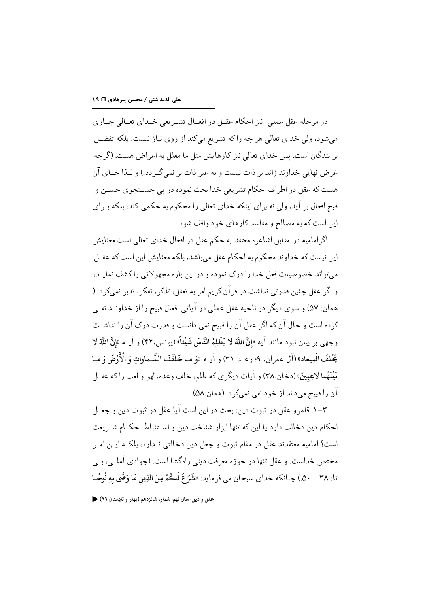در مرحله عقل عملی نیز احکام عقــل در افعــال تشــر یعی خــدای تعــالی جــاری میشود، ولی خدای تعالی هر چه را که تشریع میکند از روی نیاز نیست، بلکه تفضـل بر بندگان است. پس خداي تعالى نيز كارهايش مثل ما معلل به اغراض هست. (گرچه غرض نهایی خداوند زائد بر ذات نیست و به غیر ذات بر نمی گـر دد.) و لـذا جــای آن هست كه عقل در اطراف احكام تشريعي خدا بحث نموده در يي جســتجوي حســن و قبح افعال بر آيد، ولي نه براي اينكه خداي تعالى را محكوم به حكمي كند، بلكه بــراي این است که به مصالح و مفاسد کارهای خود واقف شود.

اگر امامیه در مقابل اشاعره معتقد به حکم عقل در افعال خدای تعالی است معنایش این نیست که خداوند محکوم به احکام عقل می باشد، بلکه معنایش این است که عقــل مي تواند خصوصيات فعل خدا را درک نموده و در اين باره مجهولاتي را کشف نمايـد، و اگر عقل چنین قدرتی نداشت در قرآن کریم امر به تعقل، تذکر، تفکر، تدبر نمیکرد. ( همان: ۵۷) و سوی دیگر در ناحیه عقل عملی در آیاتی افعال قبیح را از خداونــد نفــی كرده است و حال آن كه اگر عقل آن را قبيح نمي دانست و قدرت درک آن را نداشـت وجهي بر بيان نبود مانند آيه «إنَّ اللَّهَ لا يَظْلِمُ النَّاسَ شَيْئاً» (يونس، ۴۴) و آيــه «إنَّ اللَّهَ لا يُخْلِفُ الْمِيعاد» (آل عمر ان، ٩؛ رعــد ٣١) و آيــه «وَ مـا خَلَقْنَـا السَّـماواتِ وَ الْأَرْضَ وَ مـا مَيْنَهُما لاعِبِينَ» (دخان،٣٨) و آيات ديگر ي كه ظلم، خلف وعده، لهو و لعب را كه عقبل آن را قبيح مي داند از خو د نفي نمي کر د. (همان:۵۸)

٣–١. قلمرو عقل در ثبوت دين: بحث در اين است آيا عقل در ثبوت دين و جعــل احكام دين دخالت دارد يا اين كه تنها ابزار شناخت دين و اسـتنباط احكــام شــر يعت است؟ اماميه معتقدند عقل در مقام ثبوت و جعل دين دخالتي نـدارد، بلكـه ايــن امــر مختص خداست. و عقل تنها در حوزه معرفت دینی راهگشا است. (جوادی آملے، بے تا: ٣٨ \_ ٥٠.) چنانكه خداي سبحان مي فر مايد: «شَرَعَ لَڪُمْ مِنَ الدِّينِ مَا وَصَّى بِهِ نُوحًـا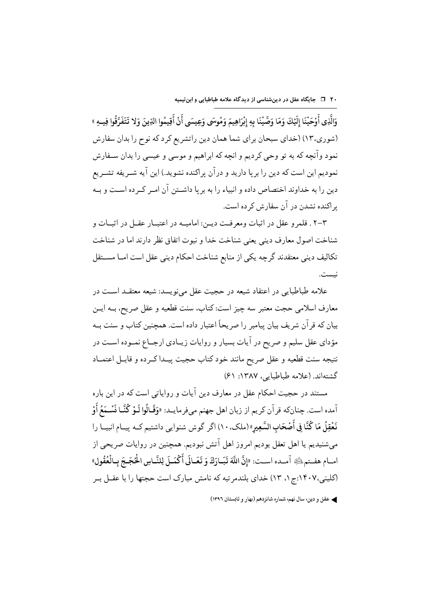۲۰ □ جایگاه عقل در دینشناسی از دیدگاه علامه طباطبایی و ابنتیمیه

وَالَّذِي أَوْحَيْنَا إِلَيْكَ وَمَا وَصَّيْنَا بِهِ إِنْرَاهِيمَ وَمُوسَى وَعِيسَى أَنْ أَقِيمُوا الدِّينَ وَلا تَتَفَرَّقُوا فِيهِ » (شوري،١٣) (خداي سبحان براي شما همان دين راتشريع كرد كه نوح را بدان سفارش نمود وآنچه که به تو وحی کردیم و انچه که ابراهیم و موسی و عیسی را بدان سـفارش نمودیم این است که دین را برپا دارید و درآن پراکنده نشوید.) این آیه شـریفه تشـریع دین را به خداوند اختصاص داده و انبیاء را به بر یا داشـتن آن امـر کـر ده اسـت و بـه بر اکنده نشدن در آن سفارش کر ده است.

۲-۳ . قلمرو عقل در اثبات ومعرفت ديـن: اماميــه در اعتبــار عقــل در اثبــات و شناخت اصول معارف ديني يعنى شناخت خدا و نبوت اتفاق نظر دارند اما در شناخت تکالیف دینی معتقدند گرچه یکی از منابع شناخت احکام دینی عقل است امـا مســتقل نىست.

علامه طباطبایی در اعتقاد شیعه در حجیت عقل می نویسد: شیعه معتقــد اســت در معارف اسلامي حجت معتبر سه چيز است: کتاب، سنت قطعيه و عقل صريح، بــه ايــن بیان که قرآن شریف بیان پیامبر را صریحاً اعتبار داده است. همچنین کتاب و سنت بــه مؤداي عقل سليم و صريح در آيات بسيار و روايات زيــادي ارجــاع نمــوده اســت در نتيجه سنت قطعيه و عقل صريح مانند خود كتاب حجيت پيـدا كـرده و قابـل اعتمــاد گشتهاند. (علامه طباطبایه، ۱۳۸۷: ۶۱)

مستند در حجیت احکام عقل در معارف دین آیات و روایاتی است که در این باره آمده است. چنانكه قرآن كريم از زبان اهل جهنم مىفرمايــد: «وَقَـالُوا لَـوْ كُنَّـا نَسْـمَعُ أَوْ نَعْقِلُ مَا كُنَّا فِي أَصْحَابِ السَّعِيرِ» (ملكِ، ١٠) اگر گوش شنوايي داشتيم كـه پيــام انبيــا را میشنیدیم یا اهل تعقل بودیم امروز اهل آتش نبودیم. همچنین در روایات صریحی از امبام هفيته ﷺ آميده است: «إِنَّ اللَّهَ تَبَيادَكَ وَ تَعَيانَي أَكْمَيلَ لِلنَّبِاسِ ا<del>لْحُجَيجَ</del> بِبِالْعُقُولِ» (کلینی،۱۴۰۷:ج۱، ۱۳) خدای بلندمر تبه که نامش مبارک است حجتها را با عقــل بــر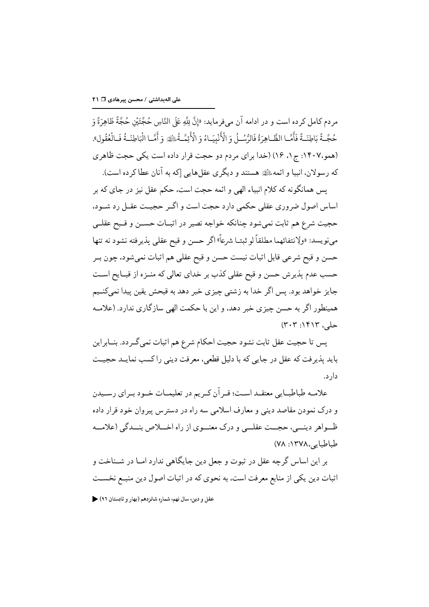مر دم كـامل كر ده است و در ادامه آن مے فر مايد: «إنَّ بِلَّهِ عَلَى النَّاسِ حُجَّتَيْنِ حُجَّةً ظَاهِرَةً وَ حُجَّـةً بَاطِنَـةً فَأَمَّـا الظَّـاهِرَةُ فَالرُّسُـلُ وَ الْأَنْبِيَـاءُ وَ الْأَئِمَّـةُ الْقُدُّ وَأَمَّـا الْبَاطِنَـةُ فَـالْعُقُولِ». (همو،١۴٠٧: ج ١، ١٤) (خدا بر اي مردم دو حجت قرار داده است يكي حجت ظاهري كه رسولان، انبيا و ائمه،ﷺ هستند و ديگري عقلهايي [كه به آنان عطا كر ده است).

يس همانگونه كه كلام انبياء الهي و ائمه حجت است، حكم عقل نيز در جاي كه بر اساس اصول ضروري عقلي حكمي دارد حجت است و اگـر حجيــت عقــل رد شــود، حجیت شرع هم ثابت نمیشود چنانکه خواجه نصیر در اثبـات حســن و قــبح عقلــی مىنويسد: «ولِانتفائهما مطلقاً لو ثبتــا شرعاً» اگر حسن و قبح عقلى پذيرفته نشود نه تنها حسن و قبح شرعي قابل اثبات نيست حسن و قبح عقلي هم اثبات نمي شود، چون بـر حسب عدم پذیرش حسن و قبح عقلی کذب بر خدای تعالی که منــزه از قبــایح اســت جايز خواهد بود. پس اگر خدا به زشتي چيزي خبر دهد به قبحش يقين پيدا نميكنـيم همینطور اگر به حسن چیزی خبر دهد، و این با حکمت الهی سازگاری ندارد. (علامـه حلي، ١۴١٣: ٣٠٣)

پس تا حجيت عقل ثابت نشود حجيت احكام شرع هم اثبات نمي گـردد. بنــابراين بايد پذيرفت كه عقل در جايي كه با دليل قطعي، معرفت ديني راكسب نمايــد حجيــت دار د.

علامـه طباطبــايي معتقــد اســت؛ قــر آن كــريم در تعليمــات خــود بــراي رســيدن و درک نمودن مقاصد دینی و معارف اسلامی سه راه در دسترس پیروان خود قرار داده ظـواهر دينــي، حجــت عقلــي و درک معنــوي از راه اخـــلاص بنــدگي (علامـــه طباطبايه ،١٣٧٨. ٧٨)

بر این اساس گرجه عقل در ثبوت و جعل دین جایگاهی ندارد امــا در شــناخت و اثبات دین یکی از منابع معرفت است، به نحوی که در اثبات اصول دین منبـع نخسـت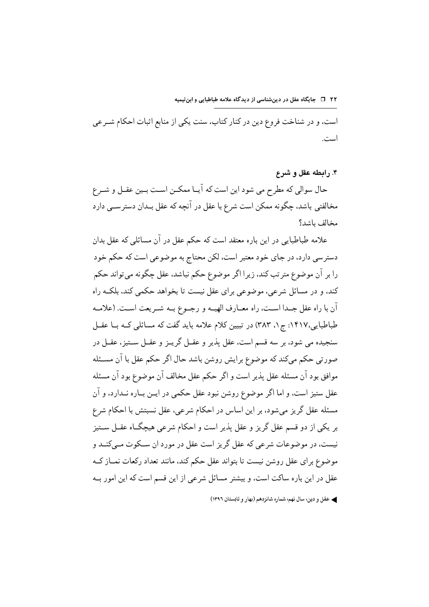است، و در شناخت فروع دین در کنار کتاب، سنت یکی از منابع اثبات احکام شـرعی است.

۴. رابطه عقل و شرع

حال سوالي كه مطرح مي شود اين است كه آيــا ممكــن اســت بــين عقــل و شــرع مخالفتی باشد، چگونه ممکن است شرع با عقل در آنچه که عقل بـدان دسترســی دارد مخالف باشد؟

علامه طباطبایی در این باره معتقد است که حکم عقل در آن مسائلی که عقل بدان دسترسي دارد، در جاي خود معتبر است، لكن محتاج به موضوعي است كه حكم خود را ٻر آن موضوع متر تب کند، زيرا اڳر موضوع حکم نباشد، عقل چڱونه مي تواند حکم کند، و در مسائل شرعی، موضوعی برای عقل نیست تا بخواهد حکمی کند، بلکـه راه آن با راه عقل جـدا اسـت، راه معــارف الهيــه و رجــوع بــه شــريعت اســت. (علامــه طباطبایی،۱۴۱۷: ج ۰، ۳۸۳) در تبیین کلام علامه باید گفت که مسائلی کـه بــا عقــل سنجيده مي شود، بر سه قسم است، عقل يذير و عقــل گريــز و عقــل ســتيز، عقــل در صورتی حکم میکند که موضوع برایش روشن باشد حال اگر حکم عقل با آن مسـئله موافق بود آن مسئله عقل يذير است و اگر حكم عقل مخالف آن موضوع بود آن مسئله عقل ستیز است، و اما اگر موضوع روشن نبود عقل حکمی در ایــن بــاره نــدارد، و آن مسئله عقل گریز میشود، بر این اساس در احکام شرعی، عقل نسبتش با احکام شرع بر یکی از دو قسم عقل گریز و عقل پذیر است و احکام شرعی هیچگIه عقــل ســتیز نیست، در موضوعات شرعی که عقل گریز است عقل در مورد ان سـکوت مـیکنــد و موضوع برای عقل روشن نیست تا بتواند عقل حکم کند، مانند تعداد رکعات نمــاز کــه عقل در این باره ساکت است، و بیشتر مسائل شرعی از این قسم است که این امور بـه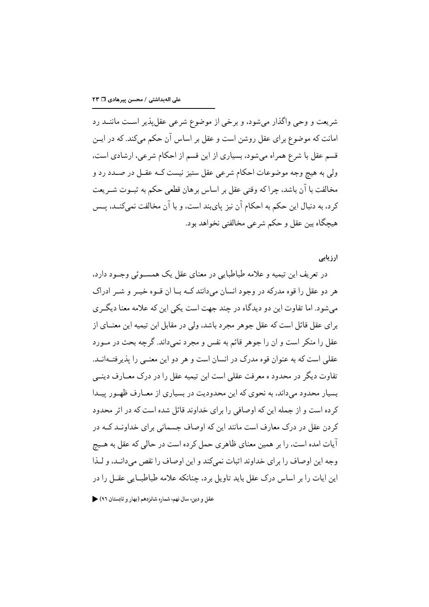شریعت و وحی واگذار می شود، و برخی از موضوع شرعی عقل پذیر است ماننــد رد امانت که موضوع برای عقل روشن است و عقل بر اساس آن حکم میکند. که در ایــن قسم عقل با شرع همراه می شود، بسیاری از این قسم از احکام شرعی، ارشادی است، ولي به هيچ وجه موضوعات احكام شرعي عقل ستيز نيست كــه عقــل در صــدد رد و مخالفت با آن باشد، چرا که وقتی عقل بر اساس بر هان قطعی حکم به ثبــوت شــر یعت كرد، به دنبال اين حكم به احكام آن نيز پايبند است، و با آن مخالفت نميكنــد، پــس هيچگاه بين عقل و حكم شرعي مخالفتي نخواهد بود.

ارزیابی

در تعریف این تیمیه و علامه طباطبایی در معنای عقل یک همســوئی وجــود دارد، هر دو عقل را قوه مدرکه در وجود انسان می دانند کـه بــا آن قــوه خیــر و شــر ادراک می شود. اما تفاوت این دو دیدگاه در چند جهت است یکی این که علامه معنا دیگری براي عقل قائل است كه عقل جوهر مجرد باشد، ولي در مقابل ابن تيميه اين معنــاي از عقل را منکر است و ان را جوهر قائم به نفس و مجرد نمیداند. گرچه بحث در مـورد عقلی است که به عنوان قوه مدرک در انسان است و هر دو این معنـبی را پذیرفتــهانــد. تفاوت دیگر در محدود ه معرفت عقلی است این تیمیه عقل را در درک معــارف دینــی بسیار محدود می داند، به نحوی که این محدودیت در بسیاری از معــارف ظهــور پیــدا کر ده است و از جمله این که اوصافی را برای خداوند قائل شده است که در اثر محدود کردن عقل در درک معارف است مانند این که اوصاف جسمانی برای خداونـد کـه در آیات امده است، را بر همین معنای ظاهری حمل کرده است در حالی که عقل به هــیچ وجه این اوصاف را برای خداوند اثبات نمه کند و این اوصاف را نقص مه دانـد، و لـذا این ایات را بر اساس درک عقل باید تاویل بر د، چنانکه علامه طباطبــایی عقــل را در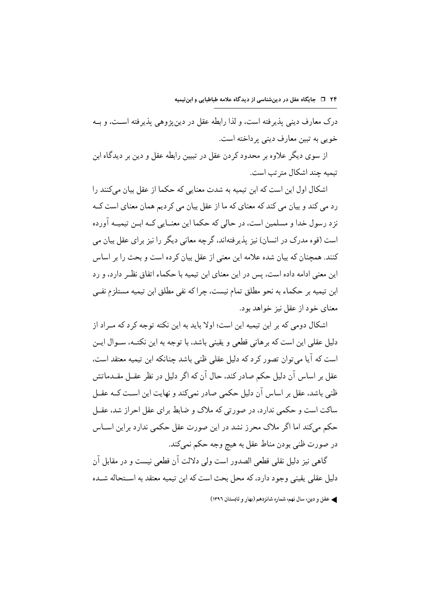درک معارف دینے تذیر فته است، و لذا رابطه عقل در دین یژوهی پذیرفته است، و بـه خويي به تبين معارف ديني پرداخته است.

از سوی دیگر علاوه بر محدود کردن عقل در تبیین رابطه عقل و دین بر دیدگاه این تيميه جند اشكال متر تب است.

اشکال اول این است که ابن تیمیه به شدت معنایی که حکما از عقل بیان می کنند را رد می کند و بیان می کند که معنای که ما از عقل بیان می کردیم همان معنای است کــه نز د رسول خدا و مسلمین است، در حالی که حکما این معنــایی کــه ابــن تیمیــه آورده است (قوه مدرک در انسان) نیز پذیر فتهاند، گرچه معانی دیگر را نیز برای عقل بیان می کنند. همچنان که بیان شده علامه این معنی از عقل بیان کر ده است و بحث را بر اساس این معنی ادامه داده است، پس در این معنای ابن تیمیه با حکماء اتفاق نظـر دارد، و رد ابن تيميه بر حكماء به نحو مطلق تمام نيست، چراكه نفي مطلق ابن تيميه مستلزم نفـي معناي خود از عقل نيز خواهد بود.

اشکال دومی که بر ابن تیمیه این است؛ اولا باید به این نکته توجه کرد که مـراد از دلیل عقلی این است که بر هانی قطعی و یقینی باشد، با توجه به این نکتــه، ســوال ایــن است که آیا می توان تصور کرد که دلیل عقلی ظنی باشد چنانکه ابن تیمیه معتقد است، عقل بر اساس آن دلیل حکم صادر کند، حال آن که اگر دلیل در نظر عقــل مقــدماتش ظنی باشد، عقل بر اساس آن دلیل حکمی صادر نمی کند و نهایت این اسـت کــه عقــل ساکت است و حکمی ندارد، در صورتی که ملاک و ضابط برای عقل احراز شد، عقــل حکم میکند اما اگر ملاک محرز نشد در این صورت عقل حکمی ندارد براین اسـاس در صورت ظني بودن مناط عقل به هيچ وجه حکم نميکند.

گاهی نیز دلیل نقلی قطعی الصدور است ولی دلالت آن قطعی نیست و در مقابل آن دلیل عقلبی یقینی وجود دارد، که محل بحث است که ابن تیمیه معتقد به اســتحاله شــده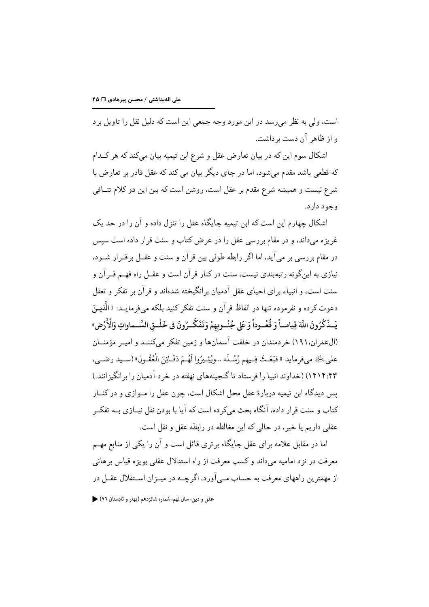است، ولي به نظر مي رسد در اين مورد وجه جمعي اين است كه دليل نقل را تاويل بر د و از ظاهر آن دست بر داشت.

اشکال سوم این که در بیان تعارض عقل و شرع ابن تیمیه بیان می کند که هر کـدام که قطعی باشد مقدم می شود، اما در جای دیگر بیان می کند که عقل قادر بر تعارض با شرع نیست و همیشه شرع مقدم بر عقل است، روشن است که بین این دو کلام تنــافی و جو د دار د.

اشکال چهارم این است که ابن تیمیه جایگاه عقل را تنزل داده و آن را در حد یک غریز ه می داند، و در مقام بر رسی عقل را در عرض کتاب و سنت قرار داده است سیس در مقام بر رسی بر می آید، اما اگر رابطه طولی بین قر آن و سنت و عقــل بر قــرار شــود، نیازی به اینگونه رتبهبندی نیست، سنت در کنار قرآن است و عقــل راه فهــم قــرآن و سنت است، و انبیاء بر ای احیای عقل آدمیان بر انگیخته شدهاند و قر آن بر تفکر و تعقل دعوت کرده و نفرموده تنها در الفاظ قر آن و سنت تفکر کنید بلکه مے فرمایــد: « الَّذِیــزَ يَــذْكُرُونَ اللَّهَ قِيامــاً وَ قُعُــوداً وَ عَلى جُنُــوبهمْ وَتَفَكَّــرُونَ في خَلْــقِ السَّــماواتِ وَالْأَرْضِ» (العمر ان، ۱۹۱) خر دمندان در خلقت آسمانها و زمین تفکر میکننـد و امیـر مؤمنــان على ﷺ مي فرمايد « فبَعَثَ فِيهم رُسُلَه …ويُثِيرُوا لَهُمْ دَفَائِنَ الْعُقُـولِ» (سـيد رضــي، ۱۴۱۴:۴۳) (خداوند انبیا را فرستاد تا گنجینههای نهفته در خرد آدمیان را بر انگیز انند.) یس دیدگاه این تیمیه دربارهٔ عقل محل اشکال است، چون عقل را مـوازی و در کنــار کتاب و سنت قرار داده، آنگاه بحث میکر ده است که آیا با بودن نقل نیــازی بــه تفکــر عقلي داريم يا خير ، در حالي كه اين مغالطه در رابطه عقل و نقل است.

اما در مقابل علامه برای عقل جایگاه برتری قائل است و آن را یکی از منابع مهــم معرفت در نز د امامیه می داند و کسب معرفت از راه استدلال عقلی بویژه قیاس بر هانی از مهمترین راههای معرفت به حساب مــي آورد، اگر چــه در ميــزان اســتقلال عقــل در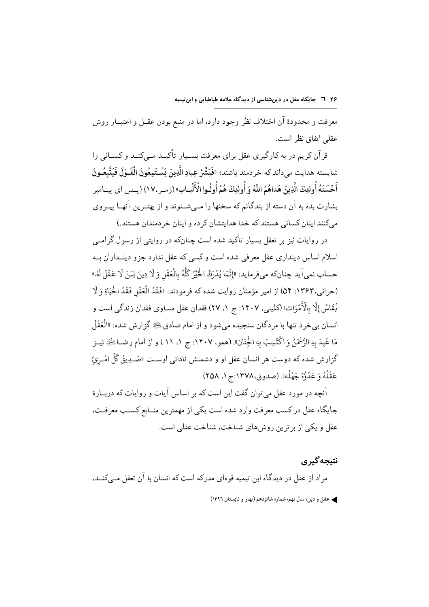معرفت و محدودهٔ آن اختلاف نظر وجود دارد، اما در منبع بودن عقــل و اعتبــار روش عقلي اتفاق نظر است.

قر آن کر یہ در یه کار گیری عقل برای معرفت بسیار تأکیــد مـے کنــد و کســانی را شايسته هدايت ميداند كه خر دمند باشند؛ «فَبَشَّرْ عِبادِ الَّذِينَ يَسْتَمِعُونَ الْقَـوْلَ فَيَتَّبِعُـونَ أَحْسَنَهُ أُولِئِكَ الَّذِينَ هَداهُمُ اللَّهُ وَ أُولِئِكَ هُمْ أُولُوا الْأَلْبِـابِ» (زمـر،١٧) (يـس اي ييـامبر بشارت بده به آن دسته از بندگانم که سخنها را مـیشـنوند و از بهتـرین آنهـا پیـروی مي كنند اينان كساني هستند كه خدا هدايتشان كرده و اينان خر دمندان هستند.)

در روایات نیز بر تعقل بسیار تأکید شده است چنانکه در روایتی از رسول گرامبی اسلام اساس دینداری عقل معرفی شده است و کسی که عقل ندارد جزو دینــداران بــه حساب نمي آيد جنانكه مي فرمايد: «إِنَّمَا يُدْرَكُ الْخَيْرُ كُلُّهُ بِالْعَقْلِ وَ لَا دِينَ لِمَنْ لَا عَقْلَ لَهُ.» (حراني،١٣۶٣: ٥۴) از امير مؤمنان روايت شده كه فرمودند: «فَقْدُ الْعَقْلِ فَقْدُ الْحَيَاةِ وَ لَا يُقَاسُ إِلَّا بِالْأَمْوَاتِ» (كليني، ١۴٠٧: ج ١، ٢٧) فقدان عقل مساوى فقدان زندگى است و انسان بي خرد تنها با مردگان سنجيده مي شود و از امام صادق ﷺ گزارش شده: «الْعَقْلُ مَا عُبِدَ بِهِ الرَّحْمَنُ وَ اكْتُسِبَ بِهِ الْجِنَانِ». (همو، ١٤٠٧: ج ١، ١١) و از امام رضــاﷺ نيــز گزارش شده که دوست هر انسان عقل او و دشمنش نادانی اوسـت «صَـدِيقُ كُلِّ امْـرِئ عَقْلُهُ وَ عَدُوُّهُ جَهْلُه». (صدوق،١٣٧٨:ج ١، ٢٥٨)

آنچه در مورد عقل می توان گفت این است که بر اساس آیات و روایات که دربـارهٔ جايگاه عقل در كسب معرفت وارد شده است يكي از مهمترين منــابع كســب معرفــت، عقل و یکی از بر ترین روشهای شناخت، شناخت عقلی است.

نتبجه گېري مراد از عقل در دیدگاه این تیمیه قوهای مدرکه است که انسان با آن تعقل مے کنــد، ﴾ عقل و دين، سال نهم، شماره شانزدهم (بهار و تابستان ١٣٩٦)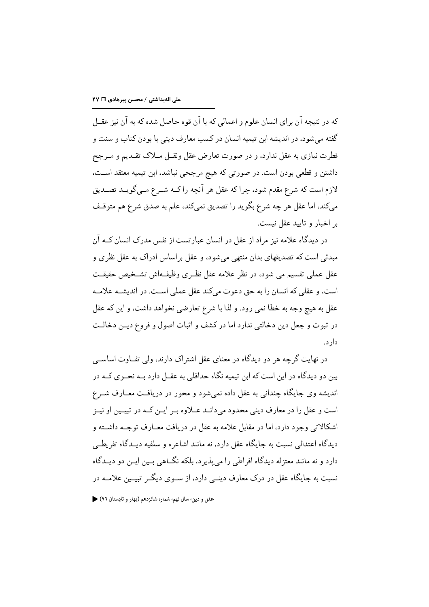که در نتیجه آن برای انسان علوم و اعمالی که با آن قوه حاصل شده که به آن نیز عقــل گفته می شود، در اندیشه ابن تیمیه انسان در کسب معارف دینی با بودن کتاب و سنت و فطرت نیازی به عقل ندارد، و در صورت تعارض عقل ونقــل مــلاک تقــدیم و مــرجح داشتن و قطعی بودن است. در صورتی که هیچ مرجحی نباشد، ابن تیمیه معتقد است، لازم است که شرع مقدم شود، چرا که عقل هر آنچه را کــه شــرع مــي گويــد تصــديق مي كند، اما عقل هر چه شرع بگويد را تصديق نمي كند، علم به صدق شرع هم متوقـف بر اخبار و تایید عقل نیست.

در دیدگاه علامه نیز مراد از عقل در انسان عبارتست از نفس مدرک انسان کــه ان مبدئی است که تصدیقهای بدان منتهی میشود، و عقل براساس ادراک به عقل نظری و عقل عملي تقسيم مي شود، در نظر علامه عقل نظـري وظيفـهاش تشـخيص حقيقـت است، و عقلی که انسان را به حق دعوت میکند عقل عملی است. در اندیشـه علامـه عقل به هیچ وجه به خطا نمی رود. و لذا با شرع تعارضی نخواهد داشت، و این که عقل در ثبوت و جعل دين دخالتي ندارد اما در كشف و اثبات اصول و فروع ديـن دخالـت دار د.

در نهایت گرچه هر دو دیدگاه در معنای عقل اشتراک دارند، ولی تفـاوت اساســی بین دو دیدگاه در این است که این تیمیه نگاه حداقلی به عقــل دارد بــه نحــوی کــه در اندیشه وی جایگاه چندانی به عقل داده نمی شود و محور در دریافت معــارف شــرع است و عقل را در معارف دینی محدود می دانــد عــلاوه بــر ایــن کــه در تبیــین او نیــز اشکالاتی وجود دارد، اما در مقابل علامه به عقل در دریافت معــارف توجــه داشــته و دیدگاه اعتدالی نسبت به جایگاه عقل دارد، نه مانند اشاعره و سلفیه دیــدگاه تفریطــی دارد و نه مانند معتزله ديدگاه افراطي را مي پذير د، بلكه نگــاهي بــين ايــن دو ديــدگاه نسبت به جایگاه عقل در درک معارف دینے ٍ دارد، از سـوی دیگـر تبیـین علامـه در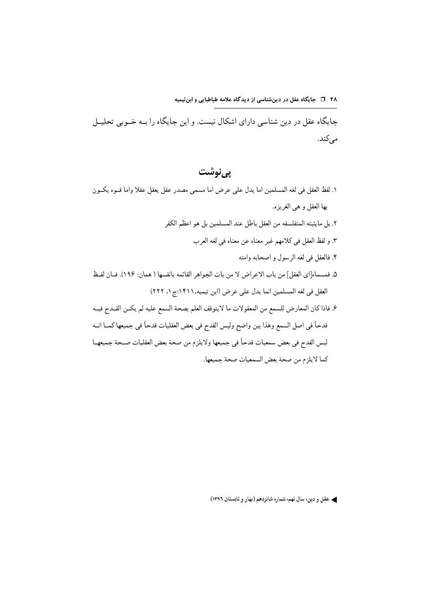جایگاه عقل در دین شناسی دارای اشکال نیست. و این جایگاه را بـه خـوبی تحلیـل می کند.

<u>يې نوشت</u>

١. لفظ العقل في لغه المسلمين اما يدل على عرض اما مسمى مصدر عقل يعقل عقلا واما قــوه يكــون بها العقل و هي الغريز ه. ٢. بل ما يثبته المتفلسفه من العقل باطل عند المسلمين بل هو اعظم الكفر ٣. و لفظ العقل في كلامهم غير معناه عن معناه في لغه العرب ۴. فالعقل في لغه الرسول و اصحابه وامته ۵. فمسماه[اي العقل] من باب الاعراض لا من بات الجواهر القائمه بانفسها ( همان: ١٩۶). فــان لفــظ العقل في لغه المسلمين انما يدل على عرض (ابن تيميه،١۴١١:ج ١، ٢٢٢) ۶. فاذا كان المعارض للسمع من المعقولات ما لايتوقف العلم بصحة السمع عليه لم يكـن القـدح فيــه قدحاً في اصل السمع وهذا بين واضح وليس القدح في بعض العقليات قدحاً في جميعها كمــا انــه ليس القدح في بعض سمعيات قدحاً في جميعها ولايلزم من صحة بعض العقليات صـحة جميعهــا كما لايلزم من صحة بعض السمعيات صحة جميعها.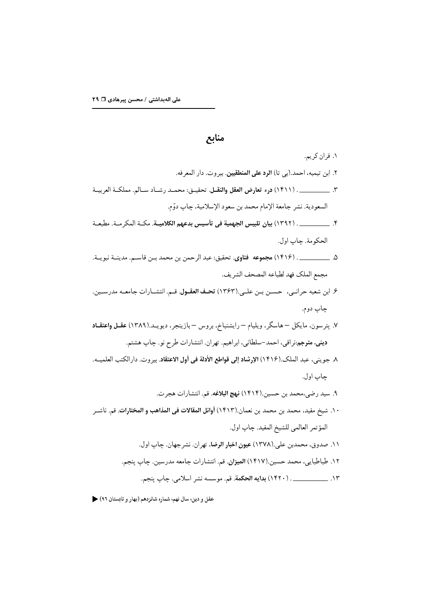## منابع

- ۱. قران کریم. ٢. ابن تيميه، احمد.(بي تا) ا**لرد على المنطقيين**. بيروت. دار المعرفه. ٣. \_\_\_\_\_\_\_\_\_\_. (١۴١١) **درء تعارض العقل والنقــل**. تحقيــق: محمــد رشــاد ســالم. مملكــة العربيــة السعودية. نشر جامعة الإمام محمد بن سعود الإسلامية، چاپ دوّم.
- ۴. \_\_\_\_\_\_\_\_\_\_\_. (١٣٩٢) بيان تلبيس الجهمية في تأسيس بدعهم الكلاميــة. مكــة المكر مــة. مطبعــة الحكومة. چاپ اول.
- ۵. \_\_\_\_\_\_\_\_\_\_. (١۴١۶) مجموعه فتاوي. تحقيق: عبد الرحمن بن محمد بـن قاسـم. مدينــة نبويــة. مجمع الملك فهد لطباعه المصحف الشريف.
- ۶. ابن شعبه حرانـي، حسـن بـن علـي.(١٣۶٣) تحـف العقـول. قـم. انتشـارات جامعـه مدرسـين. چاپ دوم.
- ۷. پترسون، مایکل –هاسگر، ویلیام رایشنباخ، بروس بازینجر، دیویــد.(۱۳۸۹) عقــل واعتقــاد ديني. مترجم:نراقي، احمد-سلطاني، ابراهيم. تهران. انتشارات طرح نو. چاپ هشتم.
- ٨. جويني، عبد الملك.(١۴١۶) الإرشاد إلى قواطع الأدلة في أول الاعتقاد. بيروت. دارالكتب العلميــه. جاب اول.
	- ۹. سيد رضي،محمد بن حسين.(۱۴۱۴) **نهج البلاغه**. قم. انتشارات هجر ت.
- ١٠. شيخ مفيد، محمد بن محمد بن نعمان.(١٤١٣) أوائل المقالات في المذاهب و المختارات. قم. ناشــر المؤتمر العالمي للشيخ المفيد. چاپ اول.
	- ۱۱. صدوق، محمدبن علي.(۱۳۷۸) **عیون اخبار الرضا**، تهران. نشرجهان. چاپ اول.
	- ١٢. طباطبايي، محمد حسين.(١۴١٧) الميزان. قم. انتشارات جامعه مدرسين. چاپ ينجم.
		- ١٣. \_\_\_\_\_\_\_\_\_\_\_. (١۴٢٠) بدايه الحكمة. قم. موسسه نشر اسلامي. چاپ ينجم.